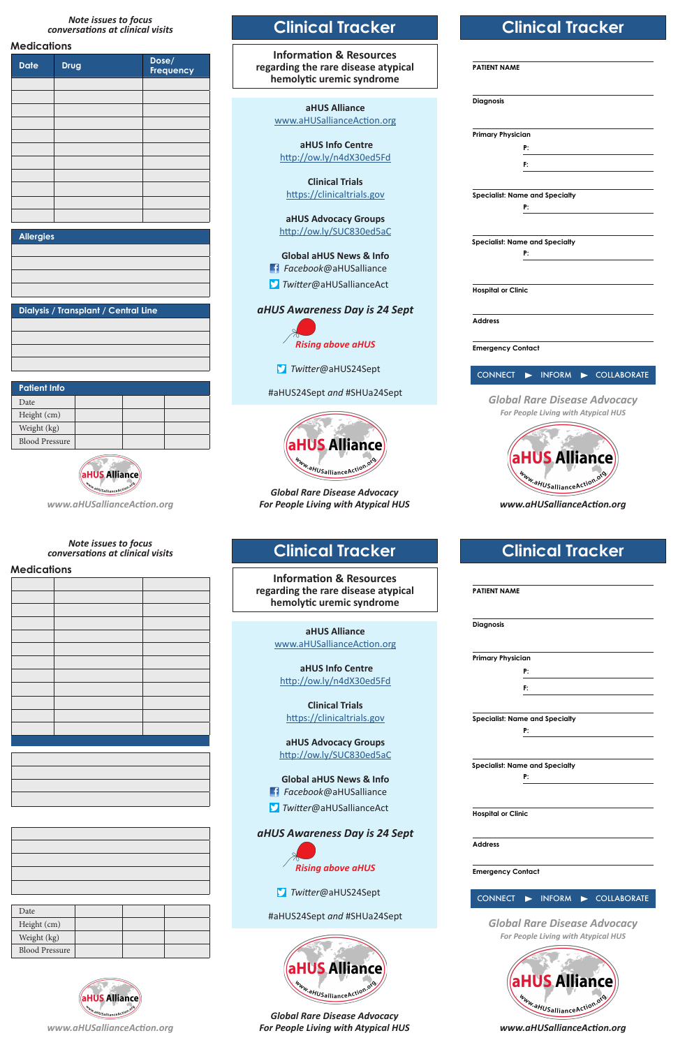#### *Note issues to focus conversations at clinical visits*

### **Medications**

| <b>Date</b> | <b>Drug</b> | Dose/<br>Frequency |
|-------------|-------------|--------------------|
|             |             |                    |
|             |             |                    |
|             |             |                    |
|             |             |                    |
|             |             |                    |
|             |             |                    |
|             |             |                    |
|             |             |                    |
|             |             |                    |
|             |             |                    |
|             |             |                    |

| <b>Allergies</b> |  |
|------------------|--|
|                  |  |

**Dialysis / Transplant / Central Line**

| <b>Patient Info</b>   |  |  |  |  |
|-----------------------|--|--|--|--|
| Date                  |  |  |  |  |
| Height (cm)           |  |  |  |  |
| Weight (kg)           |  |  |  |  |
| <b>Blood Pressure</b> |  |  |  |  |



*www.aHUSallianceAction.org*

## **Clinical Tracker**

**Information & Resources regarding the rare disease atypical hemolytic uremic syndrome**

> **aHUS Alliance** www.aHUSallianceAction.org

 **aHUS Info Centre** http://ow.ly/n4dX30ed5Fd

**Clinical Trials** https://clinicaltrials.gov

**aHUS Advocacy Groups** http://ow.ly/SUC830ed5aC

**Global aHUS News & Info** *Facebook*@aHUSalliance *Twitter*@aHUSallianceAct

*aHUS Awareness Day is 24 Sept*

*Rising above aHUS*

*Twitter*@aHUS24Sept

#aHUS24Sept *and* #SHUa24Sept



*Global Rare Disease Advocacy For People Living with Atypical HUS*

# **Clinical Tracker**

| <b>PATIENT NAME</b>       |                                       |             |
|---------------------------|---------------------------------------|-------------|
| <b>Diagnosis</b>          |                                       |             |
| <b>Primary Physician</b>  |                                       |             |
|                           | P:                                    |             |
|                           | F:                                    |             |
|                           | <b>Specialist: Name and Specialty</b> |             |
|                           | P:                                    |             |
|                           |                                       |             |
|                           | <b>Specialist: Name and Specialty</b> |             |
|                           | P:                                    |             |
|                           |                                       |             |
| <b>Hospital or Clinic</b> |                                       |             |
| <b>Address</b>            |                                       |             |
| <b>Emergency Contact</b>  |                                       |             |
| <b>CONNECT</b>            | <b>INFORM</b>                         | COLLABORATE |
|                           | <b>Global Rare Disease Advocacy</b>   |             |
|                           | For People Living with Atypical HUS   |             |
|                           |                                       |             |
|                           |                                       |             |
|                           | US A                                  | nce         |
|                           |                                       |             |
|                           | Www.aHUSallianceAction.org            |             |

*www.aHUSallianceAction.org*